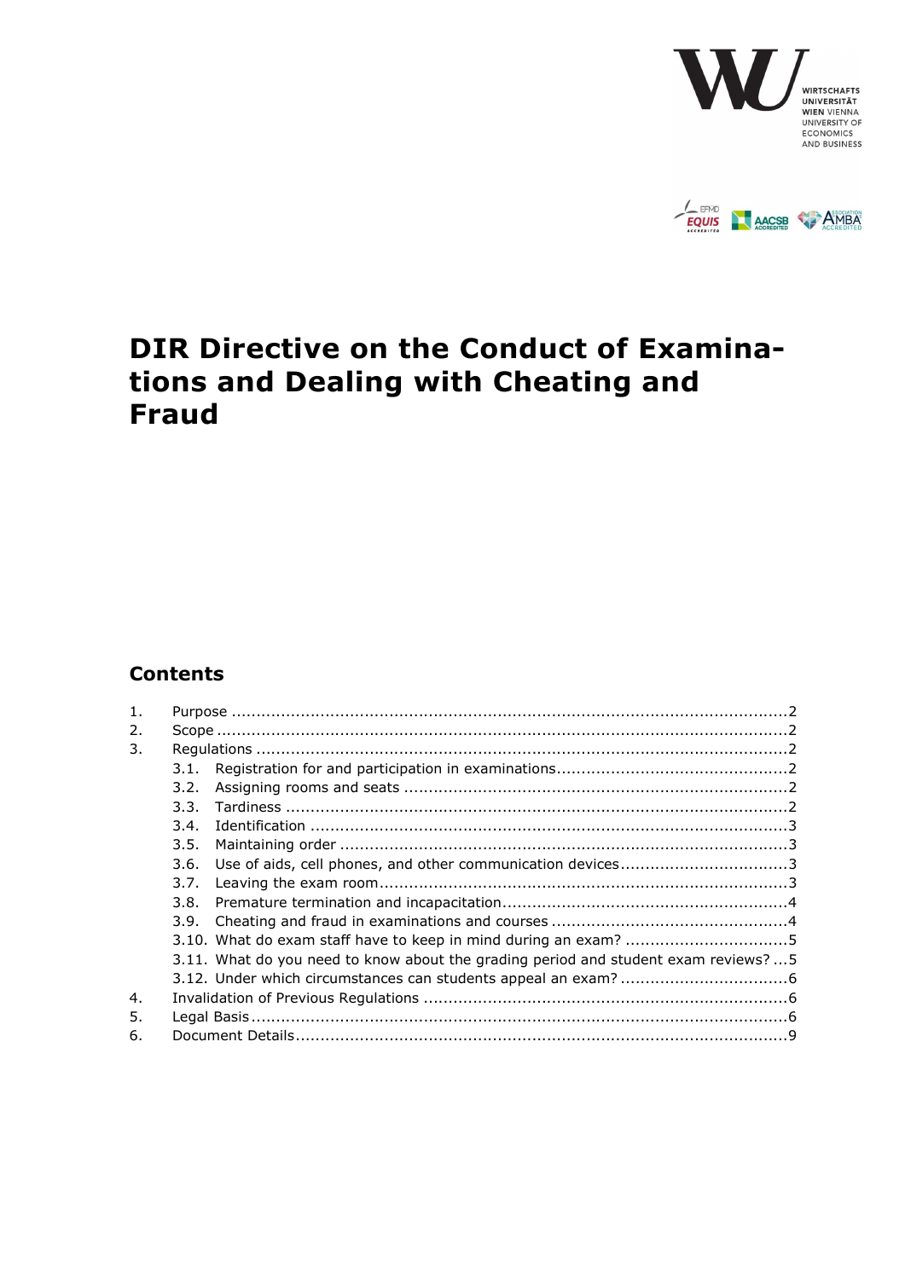



# DIR Directive on the Conduct of Examinations and Dealing with Cheating and Fraud

## **Contents**

| 1 <sub>1</sub> |      |                                                                                    |  |  |
|----------------|------|------------------------------------------------------------------------------------|--|--|
| 2.             |      |                                                                                    |  |  |
| 3.             |      |                                                                                    |  |  |
|                | 3.1. |                                                                                    |  |  |
|                | 3.2. |                                                                                    |  |  |
|                | 3.3. |                                                                                    |  |  |
|                | 3.4. |                                                                                    |  |  |
|                | 3.5. |                                                                                    |  |  |
|                | 3.6. |                                                                                    |  |  |
|                | 3.7. |                                                                                    |  |  |
|                | 3.8. |                                                                                    |  |  |
|                | 3.9. |                                                                                    |  |  |
|                |      |                                                                                    |  |  |
|                |      | 3.11. What do you need to know about the grading period and student exam reviews?5 |  |  |
|                |      |                                                                                    |  |  |
| 4.             |      |                                                                                    |  |  |
| 5.             |      |                                                                                    |  |  |
| 6.             |      |                                                                                    |  |  |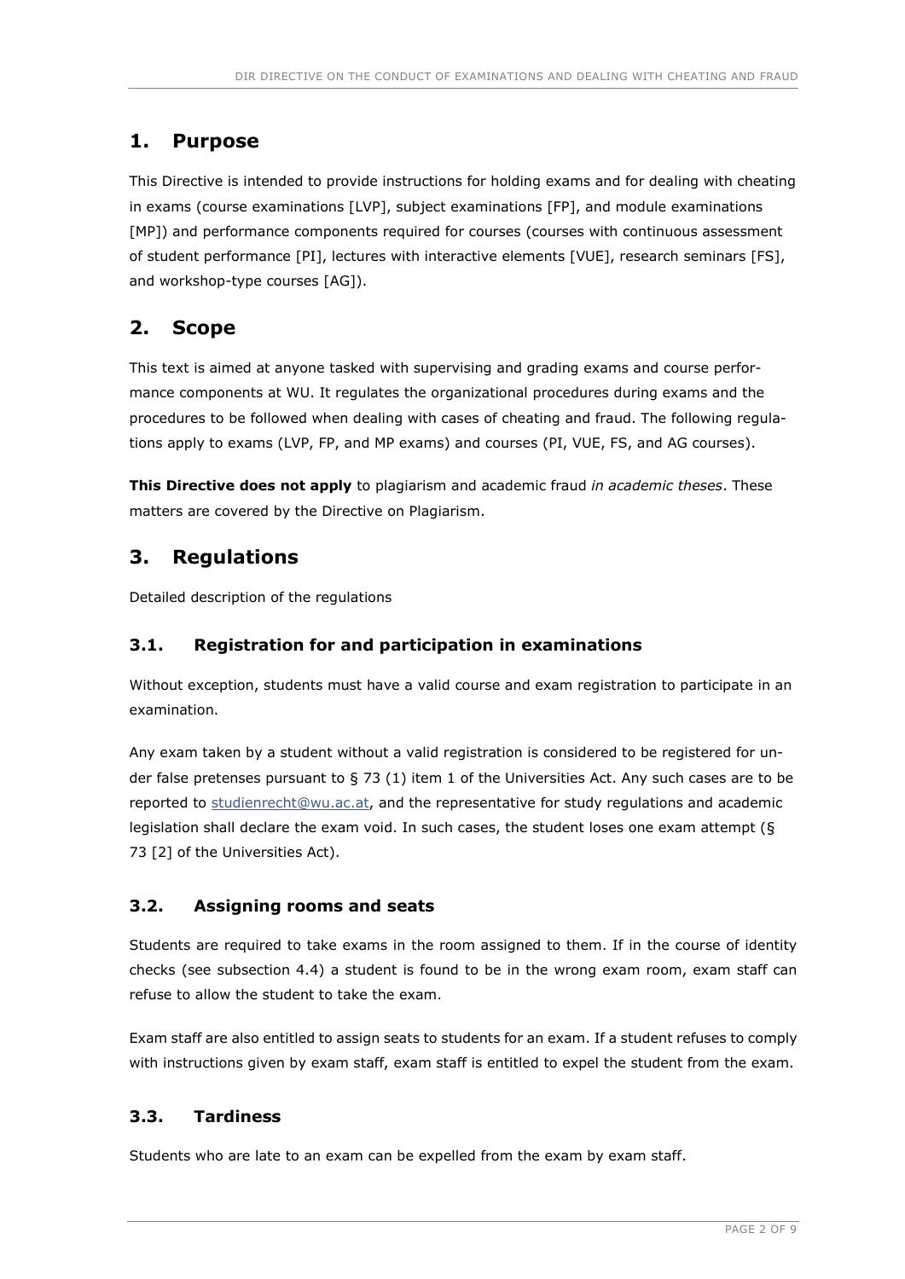## 1. Purpose

This Directive is intended to provide instructions for holding exams and for dealing with cheating in exams (course examinations [LVP], subject examinations [FP], and module examinations [MP]) and performance components required for courses (courses with continuous assessment of student performance [PI], lectures with interactive elements [VUE], research seminars [FS], and workshop-type courses [AG]).

## 2. Scope

This text is aimed at anyone tasked with supervising and grading exams and course performance components at WU. It regulates the organizational procedures during exams and the procedures to be followed when dealing with cases of cheating and fraud. The following regulations apply to exams (LVP, FP, and MP exams) and courses (PI, VUE, FS, and AG courses).

This Directive does not apply to plagiarism and academic fraud in academic theses. These matters are covered by the Directive on Plagiarism.

## 3. Regulations

Detailed description of the regulations

## 3.1. Registration for and participation in examinations

Without exception, students must have a valid course and exam registration to participate in an examination.

Any exam taken by a student without a valid registration is considered to be registered for under false pretenses pursuant to § 73 (1) item 1 of the Universities Act. Any such cases are to be reported to studienrecht@wu.ac.at, and the representative for study regulations and academic legislation shall declare the exam void. In such cases, the student loses one exam attempt (§ 73 [2] of the Universities Act).

## 3.2. Assigning rooms and seats

Students are required to take exams in the room assigned to them. If in the course of identity checks (see subsection 4.4) a student is found to be in the wrong exam room, exam staff can refuse to allow the student to take the exam.

Exam staff are also entitled to assign seats to students for an exam. If a student refuses to comply with instructions given by exam staff, exam staff is entitled to expel the student from the exam.

## 3.3. Tardiness

Students who are late to an exam can be expelled from the exam by exam staff.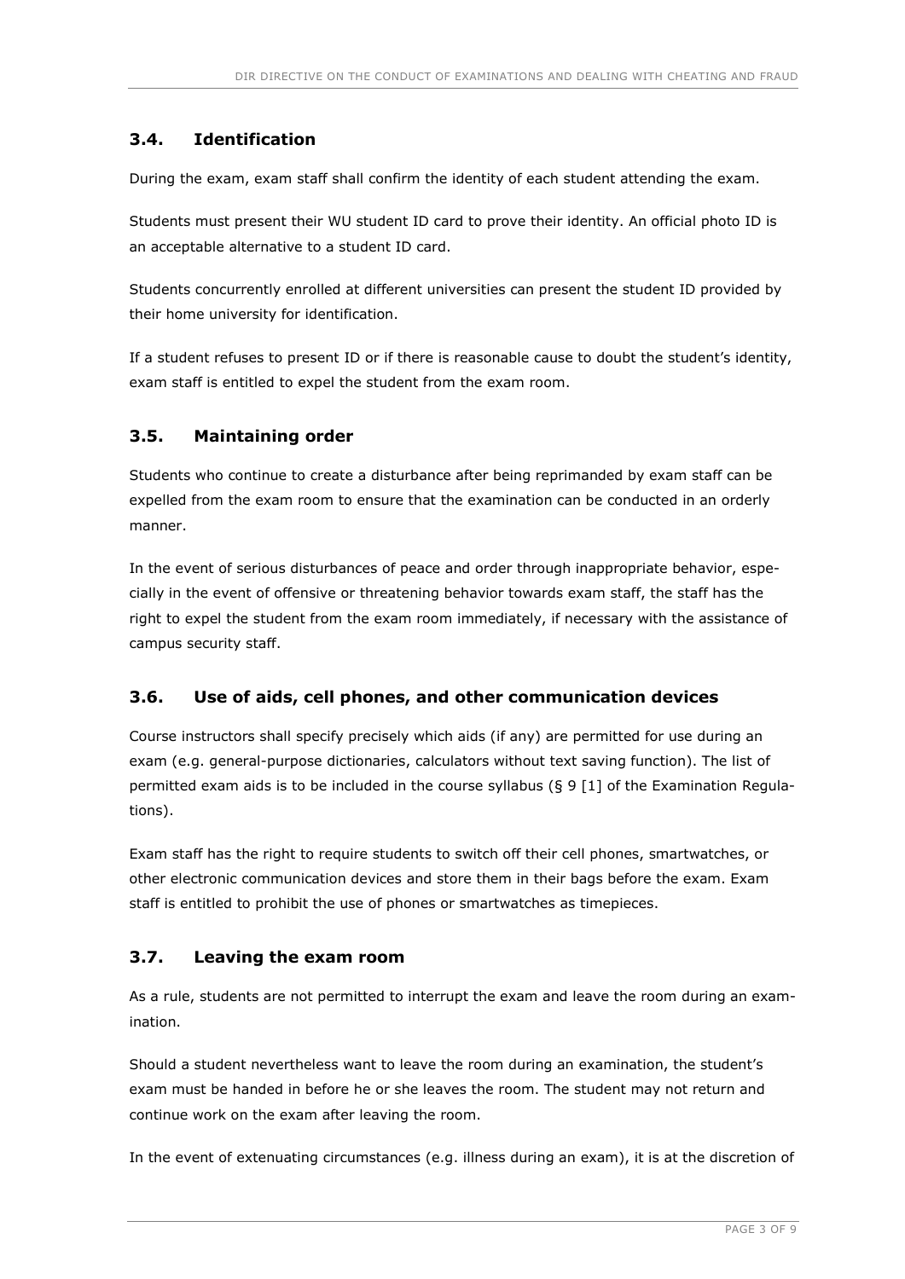## 3.4. Identification

During the exam, exam staff shall confirm the identity of each student attending the exam.

Students must present their WU student ID card to prove their identity. An official photo ID is an acceptable alternative to a student ID card.

Students concurrently enrolled at different universities can present the student ID provided by their home university for identification.

If a student refuses to present ID or if there is reasonable cause to doubt the student's identity, exam staff is entitled to expel the student from the exam room.

### 3.5. Maintaining order

Students who continue to create a disturbance after being reprimanded by exam staff can be expelled from the exam room to ensure that the examination can be conducted in an orderly manner.

In the event of serious disturbances of peace and order through inappropriate behavior, especially in the event of offensive or threatening behavior towards exam staff, the staff has the right to expel the student from the exam room immediately, if necessary with the assistance of campus security staff.

## 3.6. Use of aids, cell phones, and other communication devices

Course instructors shall specify precisely which aids (if any) are permitted for use during an exam (e.g. general-purpose dictionaries, calculators without text saving function). The list of permitted exam aids is to be included in the course syllabus (§ 9 [1] of the Examination Regulations).

Exam staff has the right to require students to switch off their cell phones, smartwatches, or other electronic communication devices and store them in their bags before the exam. Exam staff is entitled to prohibit the use of phones or smartwatches as timepieces.

## 3.7. Leaving the exam room

As a rule, students are not permitted to interrupt the exam and leave the room during an examination.

Should a student nevertheless want to leave the room during an examination, the student's exam must be handed in before he or she leaves the room. The student may not return and continue work on the exam after leaving the room.

In the event of extenuating circumstances (e.g. illness during an exam), it is at the discretion of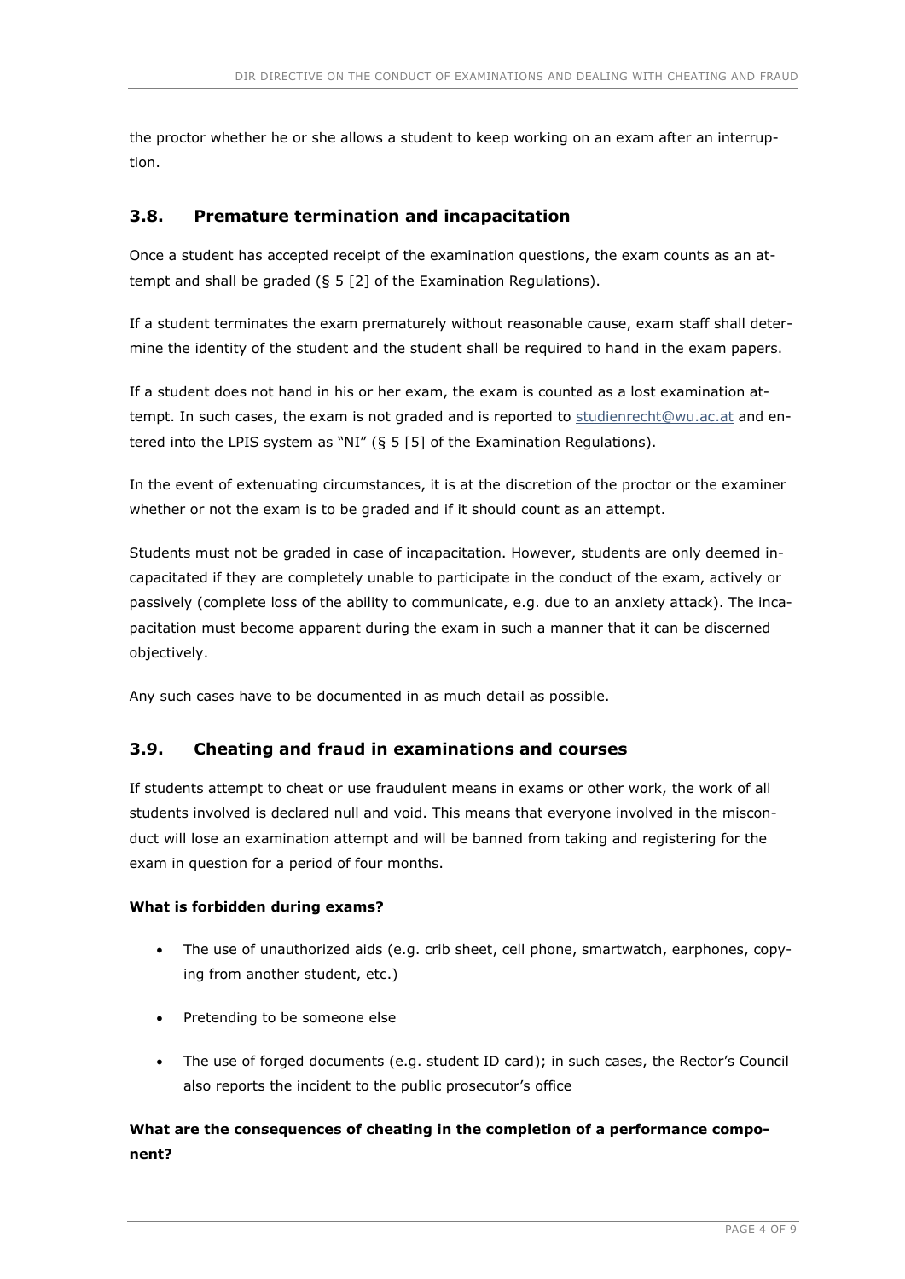the proctor whether he or she allows a student to keep working on an exam after an interruption.

### 3.8. Premature termination and incapacitation

Once a student has accepted receipt of the examination questions, the exam counts as an attempt and shall be graded (§ 5 [2] of the Examination Regulations).

If a student terminates the exam prematurely without reasonable cause, exam staff shall determine the identity of the student and the student shall be required to hand in the exam papers.

If a student does not hand in his or her exam, the exam is counted as a lost examination attempt. In such cases, the exam is not graded and is reported to studienrecht@wu.ac.at and entered into the LPIS system as "NI" (§ 5 [5] of the Examination Regulations).

In the event of extenuating circumstances, it is at the discretion of the proctor or the examiner whether or not the exam is to be graded and if it should count as an attempt.

Students must not be graded in case of incapacitation. However, students are only deemed incapacitated if they are completely unable to participate in the conduct of the exam, actively or passively (complete loss of the ability to communicate, e.g. due to an anxiety attack). The incapacitation must become apparent during the exam in such a manner that it can be discerned objectively.

Any such cases have to be documented in as much detail as possible.

### 3.9. Cheating and fraud in examinations and courses

If students attempt to cheat or use fraudulent means in exams or other work, the work of all students involved is declared null and void. This means that everyone involved in the misconduct will lose an examination attempt and will be banned from taking and registering for the exam in question for a period of four months.

#### What is forbidden during exams?

- The use of unauthorized aids (e.g. crib sheet, cell phone, smartwatch, earphones, copying from another student, etc.)
- Pretending to be someone else
- The use of forged documents (e.g. student ID card); in such cases, the Rector's Council also reports the incident to the public prosecutor's office

## What are the consequences of cheating in the completion of a performance component?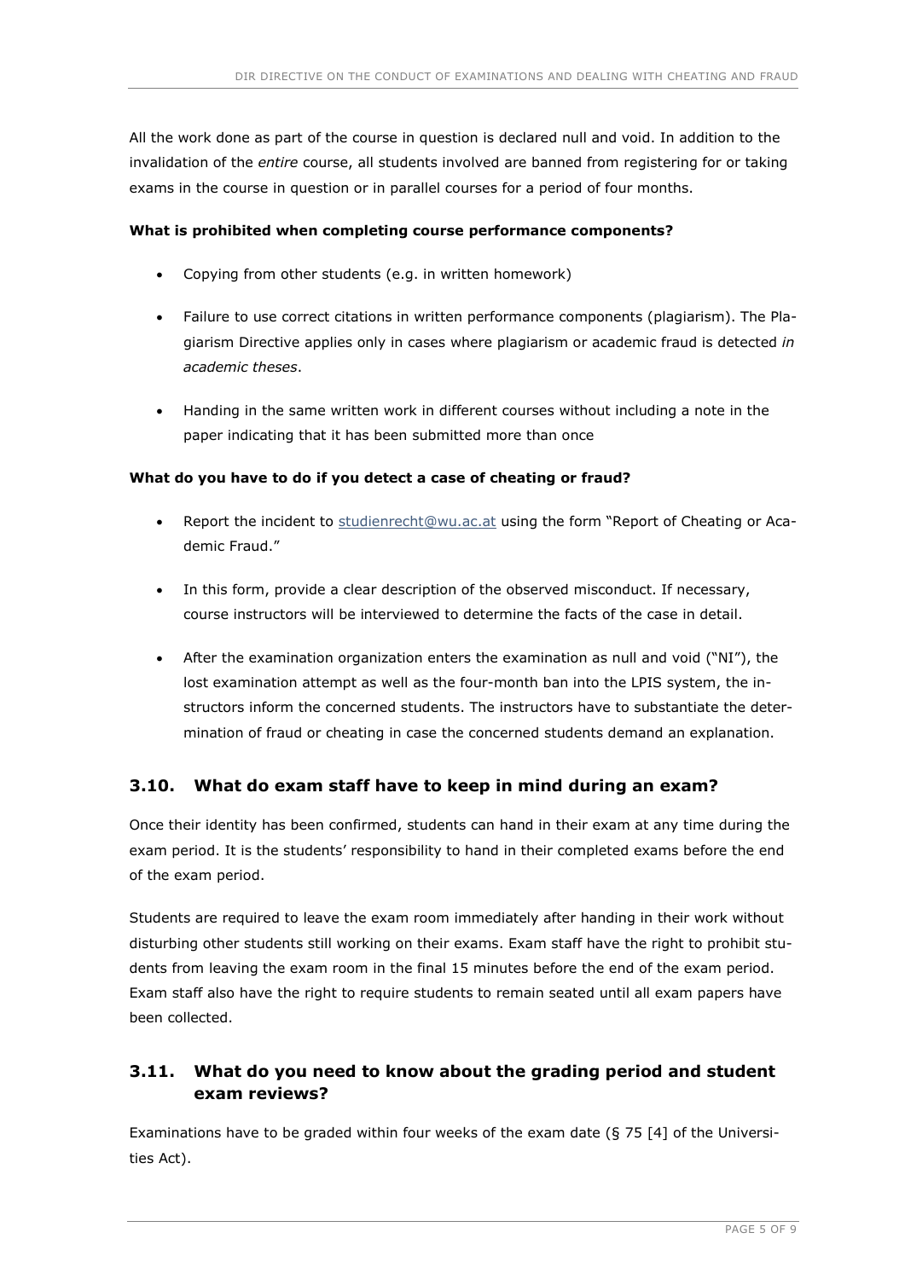All the work done as part of the course in question is declared null and void. In addition to the invalidation of the entire course, all students involved are banned from registering for or taking exams in the course in question or in parallel courses for a period of four months.

#### What is prohibited when completing course performance components?

- Copying from other students (e.g. in written homework)
- Failure to use correct citations in written performance components (plagiarism). The Plagiarism Directive applies only in cases where plagiarism or academic fraud is detected in academic theses.
- Handing in the same written work in different courses without including a note in the paper indicating that it has been submitted more than once

#### What do you have to do if you detect a case of cheating or fraud?

- Report the incident to studienrecht@wu.ac.at using the form "Report of Cheating or Academic Fraud."
- In this form, provide a clear description of the observed misconduct. If necessary, course instructors will be interviewed to determine the facts of the case in detail.
- After the examination organization enters the examination as null and void ("NI"), the lost examination attempt as well as the four-month ban into the LPIS system, the instructors inform the concerned students. The instructors have to substantiate the determination of fraud or cheating in case the concerned students demand an explanation.

### 3.10. What do exam staff have to keep in mind during an exam?

Once their identity has been confirmed, students can hand in their exam at any time during the exam period. It is the students' responsibility to hand in their completed exams before the end of the exam period.

Students are required to leave the exam room immediately after handing in their work without disturbing other students still working on their exams. Exam staff have the right to prohibit students from leaving the exam room in the final 15 minutes before the end of the exam period. Exam staff also have the right to require students to remain seated until all exam papers have been collected.

## 3.11. What do you need to know about the grading period and student exam reviews?

Examinations have to be graded within four weeks of the exam date (§ 75 [4] of the Universities Act).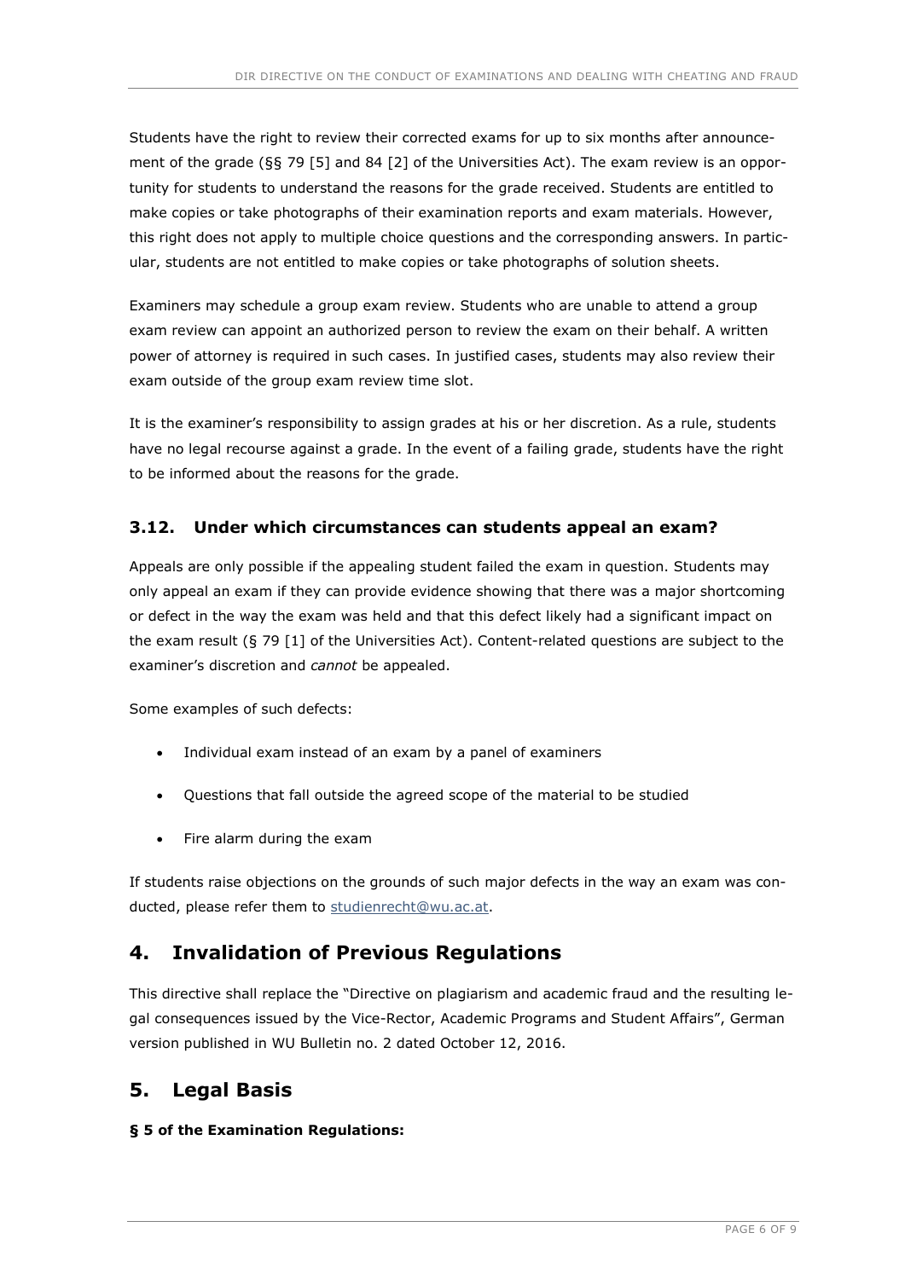Students have the right to review their corrected exams for up to six months after announcement of the grade (§§ 79 [5] and 84 [2] of the Universities Act). The exam review is an opportunity for students to understand the reasons for the grade received. Students are entitled to make copies or take photographs of their examination reports and exam materials. However, this right does not apply to multiple choice questions and the corresponding answers. In particular, students are not entitled to make copies or take photographs of solution sheets.

Examiners may schedule a group exam review. Students who are unable to attend a group exam review can appoint an authorized person to review the exam on their behalf. A written power of attorney is required in such cases. In justified cases, students may also review their exam outside of the group exam review time slot.

It is the examiner's responsibility to assign grades at his or her discretion. As a rule, students have no legal recourse against a grade. In the event of a failing grade, students have the right to be informed about the reasons for the grade.

### 3.12. Under which circumstances can students appeal an exam?

Appeals are only possible if the appealing student failed the exam in question. Students may only appeal an exam if they can provide evidence showing that there was a major shortcoming or defect in the way the exam was held and that this defect likely had a significant impact on the exam result (§ 79 [1] of the Universities Act). Content-related questions are subject to the examiner's discretion and cannot be appealed.

Some examples of such defects:

- Individual exam instead of an exam by a panel of examiners
- Questions that fall outside the agreed scope of the material to be studied
- Fire alarm during the exam

If students raise objections on the grounds of such major defects in the way an exam was conducted, please refer them to studienrecht@wu.ac.at.

## 4. Invalidation of Previous Regulations

This directive shall replace the "Directive on plagiarism and academic fraud and the resulting legal consequences issued by the Vice-Rector, Academic Programs and Student Affairs", German version published in WU Bulletin no. 2 dated October 12, 2016.

## 5. Legal Basis

#### § 5 of the Examination Regulations: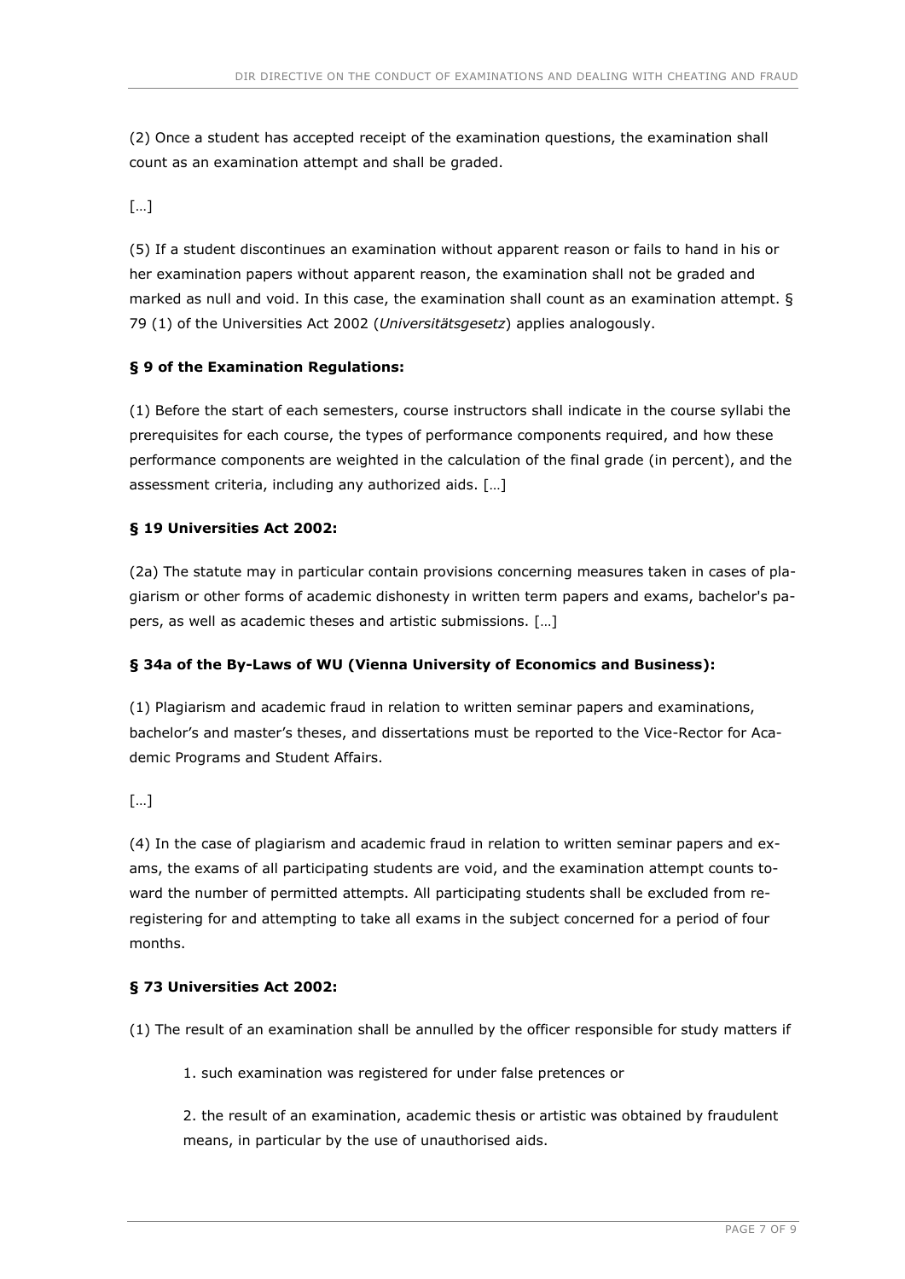(2) Once a student has accepted receipt of the examination questions, the examination shall count as an examination attempt and shall be graded.

[…]

(5) If a student discontinues an examination without apparent reason or fails to hand in his or her examination papers without apparent reason, the examination shall not be graded and marked as null and void. In this case, the examination shall count as an examination attempt. § 79 (1) of the Universities Act 2002 (Universitätsgesetz) applies analogously.

#### § 9 of the Examination Regulations:

(1) Before the start of each semesters, course instructors shall indicate in the course syllabi the prerequisites for each course, the types of performance components required, and how these performance components are weighted in the calculation of the final grade (in percent), and the assessment criteria, including any authorized aids. […]

#### § 19 Universities Act 2002:

(2a) The statute may in particular contain provisions concerning measures taken in cases of plagiarism or other forms of academic dishonesty in written term papers and exams, bachelor's papers, as well as academic theses and artistic submissions. […]

#### § 34a of the By-Laws of WU (Vienna University of Economics and Business):

(1) Plagiarism and academic fraud in relation to written seminar papers and examinations, bachelor's and master's theses, and dissertations must be reported to the Vice-Rector for Academic Programs and Student Affairs.

 $[...]$ 

(4) In the case of plagiarism and academic fraud in relation to written seminar papers and exams, the exams of all participating students are void, and the examination attempt counts toward the number of permitted attempts. All participating students shall be excluded from reregistering for and attempting to take all exams in the subject concerned for a period of four months.

#### § 73 Universities Act 2002:

(1) The result of an examination shall be annulled by the officer responsible for study matters if

1. such examination was registered for under false pretences or

2. the result of an examination, academic thesis or artistic was obtained by fraudulent means, in particular by the use of unauthorised aids.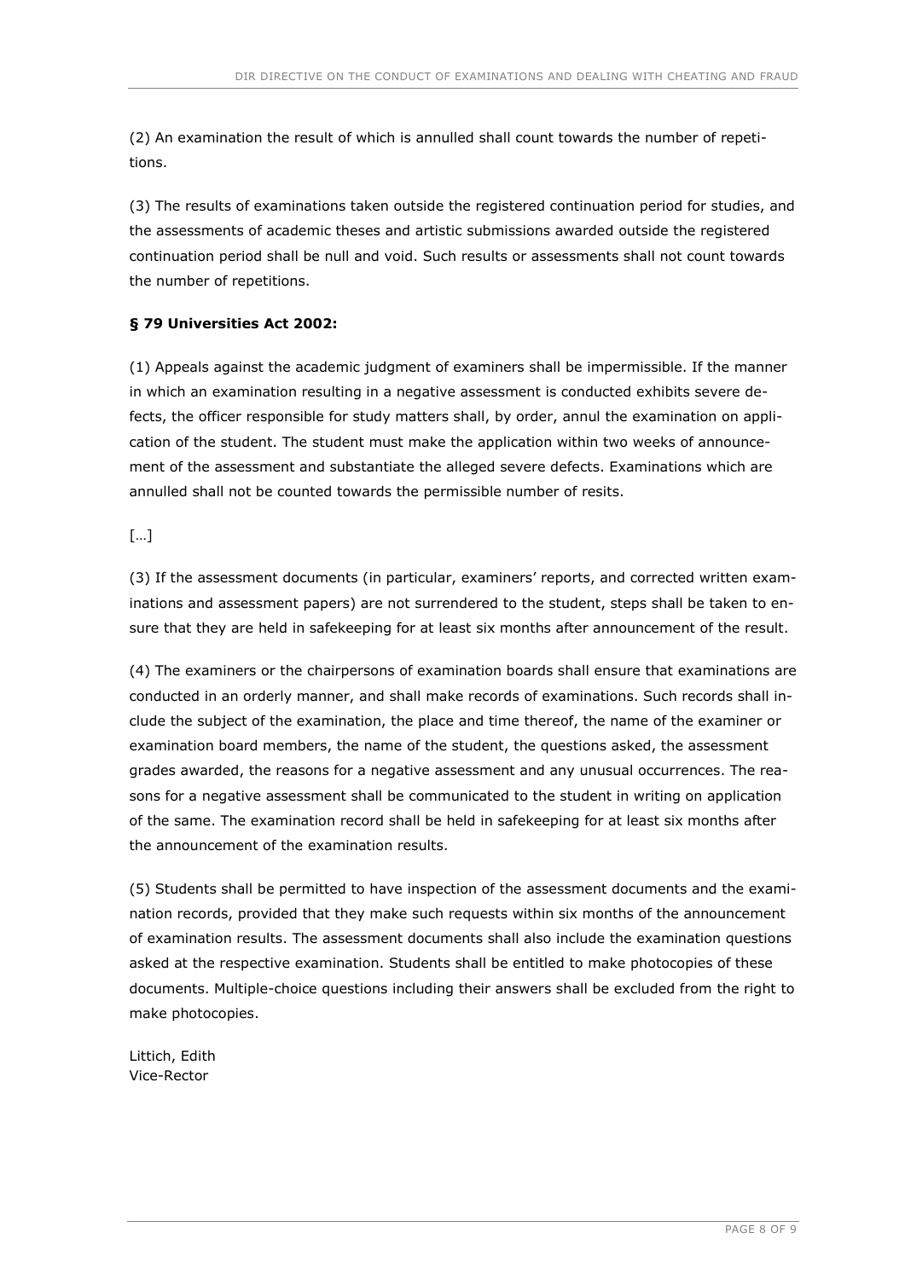(2) An examination the result of which is annulled shall count towards the number of repetitions.

(3) The results of examinations taken outside the registered continuation period for studies, and the assessments of academic theses and artistic submissions awarded outside the registered continuation period shall be null and void. Such results or assessments shall not count towards the number of repetitions.

### § 79 Universities Act 2002:

(1) Appeals against the academic judgment of examiners shall be impermissible. If the manner in which an examination resulting in a negative assessment is conducted exhibits severe defects, the officer responsible for study matters shall, by order, annul the examination on application of the student. The student must make the application within two weeks of announcement of the assessment and substantiate the alleged severe defects. Examinations which are annulled shall not be counted towards the permissible number of resits.

 $\lceil \dots \rceil$ 

(3) If the assessment documents (in particular, examiners' reports, and corrected written examinations and assessment papers) are not surrendered to the student, steps shall be taken to ensure that they are held in safekeeping for at least six months after announcement of the result.

(4) The examiners or the chairpersons of examination boards shall ensure that examinations are conducted in an orderly manner, and shall make records of examinations. Such records shall include the subject of the examination, the place and time thereof, the name of the examiner or examination board members, the name of the student, the questions asked, the assessment grades awarded, the reasons for a negative assessment and any unusual occurrences. The reasons for a negative assessment shall be communicated to the student in writing on application of the same. The examination record shall be held in safekeeping for at least six months after the announcement of the examination results.

(5) Students shall be permitted to have inspection of the assessment documents and the examination records, provided that they make such requests within six months of the announcement of examination results. The assessment documents shall also include the examination questions asked at the respective examination. Students shall be entitled to make photocopies of these documents. Multiple-choice questions including their answers shall be excluded from the right to make photocopies.

Littich, Edith Vice-Rector